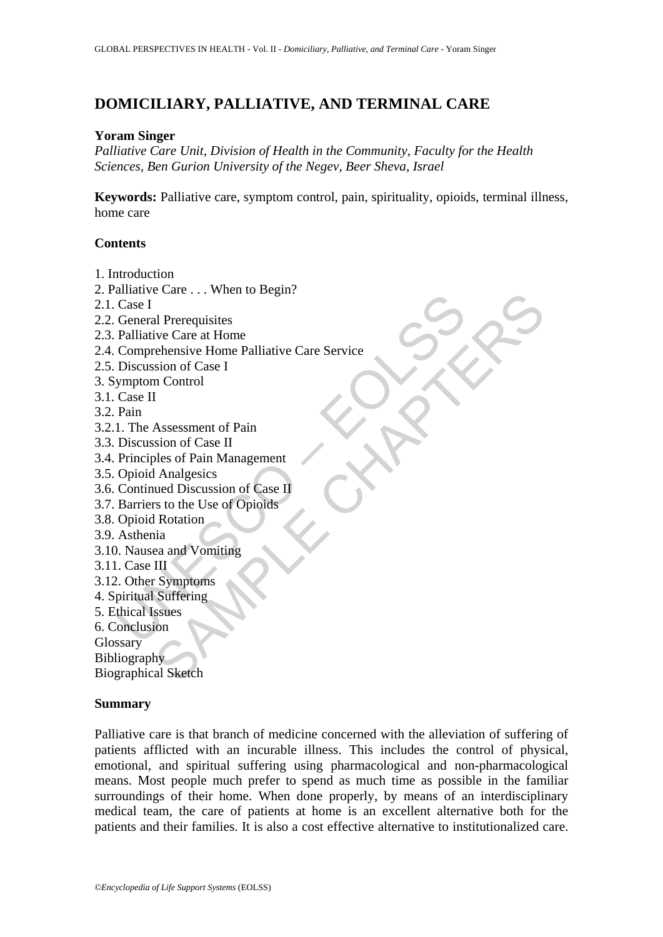# **DOMICILIARY, PALLIATIVE, AND TERMINAL CARE**

#### **Yoram Singer**

*Palliative Care Unit, Division of Health in the Community, Faculty for the Health Sciences, Ben Gurion University of the Negev, Beer Sheva, Israel* 

**Keywords:** Palliative care, symptom control, pain, spirituality, opioids, terminal illness, home care

### **Contents**

- 1. Introduction
- 2. Palliative Care . . . When to Begin?
- 2.1. Case I
- 2.2. General Prerequisites
- 2.3. Palliative Care at Home
- mainter Care 11.1 Mini-16 Eeg...<br>
Case I<br>
General Prerequisites<br>
Palliative Care at Home<br>
Comprehensive Home Palliative Care Service<br>
Discussion of Case I<br>
Pain<br>
1. The Assessment of Pain<br>
Discussion of Case II<br>
Principles Example the Care of Home<br>
Care at Home<br>
Character at Home<br>
Salison of Case I<br>
In Control<br>
I<br>
Massessment of Pain<br>
Sign of Case II<br>
Assessment of Pain<br>
Is an Management<br>
La Analgesics<br>
Sure Chapter Case II<br>
In Character<br>
Su 2.4. Comprehensive Home Palliative Care Service
- 2.5. Discussion of Case I
- 3. Symptom Control
- 3.1. Case II
- 3.2. Pain
- 3.2.1. The Assessment of Pain
- 3.3. Discussion of Case II
- 3.4. Principles of Pain Management
- 3.5. Opioid Analgesics
- 3.6. Continued Discussion of Case II
- 3.7. Barriers to the Use of Opioids
- 3.8. Opioid Rotation
- 3.9. Asthenia
- 3.10. Nausea and Vomiting
- 3.11. Case III
- 3.12. Other Symptoms
- 4. Spiritual Suffering
- 5. Ethical Issues
- 6. Conclusion
- **Glossary**
- Bibliography

Biographical Sketch

#### **Summary**

Palliative care is that branch of medicine concerned with the alleviation of suffering of patients afflicted with an incurable illness. This includes the control of physical, emotional, and spiritual suffering using pharmacological and non-pharmacological means. Most people much prefer to spend as much time as possible in the familiar surroundings of their home. When done properly, by means of an interdisciplinary medical team, the care of patients at home is an excellent alternative both for the patients and their families. It is also a cost effective alternative to institutionalized care.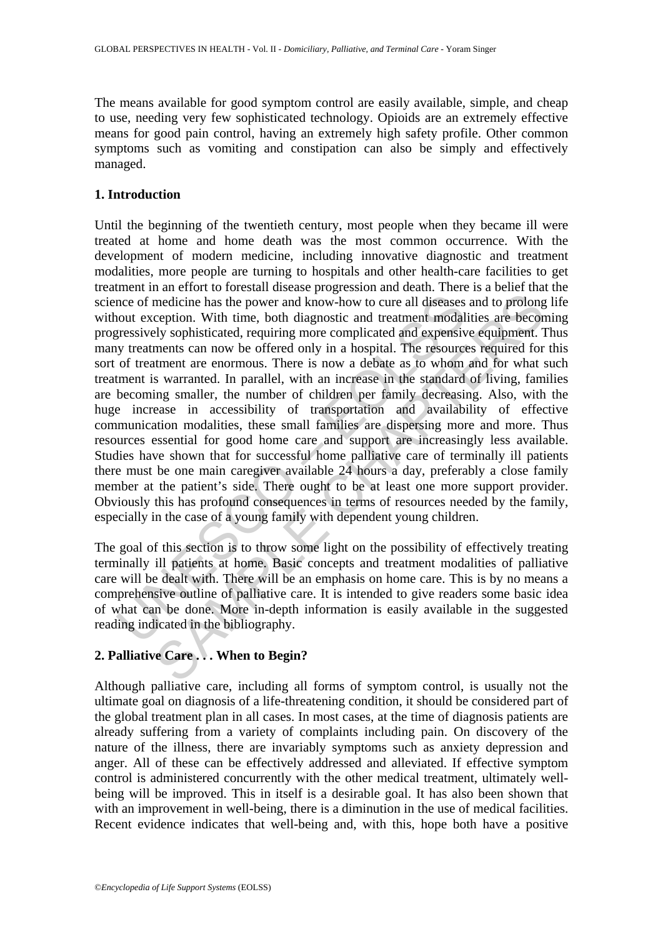The means available for good symptom control are easily available, simple, and cheap to use, needing very few sophisticated technology. Opioids are an extremely effective means for good pain control, having an extremely high safety profile. Other common symptoms such as vomiting and constipation can also be simply and effectively managed.

### **1. Introduction**

nce of medicine has the power and know-how to cure all diseases<br>nout exception. With time, both diagnostic and treatment modal<br>gressively sophisticated, requiring more complicated and expensivy<br>treatments can now be offere medicine has the power and know-how to cure all diseases and to prolong<br>ecption. With time, both diagnostic and treatment modalities are become<br>region. With time, both diagnostic and treatment modalities are become<br>preser Until the beginning of the twentieth century, most people when they became ill were treated at home and home death was the most common occurrence. With the development of modern medicine, including innovative diagnostic and treatment modalities, more people are turning to hospitals and other health-care facilities to get treatment in an effort to forestall disease progression and death. There is a belief that the science of medicine has the power and know-how to cure all diseases and to prolong life without exception. With time, both diagnostic and treatment modalities are becoming progressively sophisticated, requiring more complicated and expensive equipment. Thus many treatments can now be offered only in a hospital. The resources required for this sort of treatment are enormous. There is now a debate as to whom and for what such treatment is warranted. In parallel, with an increase in the standard of living, families are becoming smaller, the number of children per family decreasing. Also, with the huge increase in accessibility of transportation and availability of effective communication modalities, these small families are dispersing more and more. Thus resources essential for good home care and support are increasingly less available. Studies have shown that for successful home palliative care of terminally ill patients there must be one main caregiver available 24 hours a day, preferably a close family member at the patient's side. There ought to be at least one more support provider. Obviously this has profound consequences in terms of resources needed by the family, especially in the case of a young family with dependent young children.

The goal of this section is to throw some light on the possibility of effectively treating terminally ill patients at home. Basic concepts and treatment modalities of palliative care will be dealt with. There will be an emphasis on home care. This is by no means a comprehensive outline of palliative care. It is intended to give readers some basic idea of what can be done. More in-depth information is easily available in the suggested reading indicated in the bibliography.

## **2. Palliative Care . . . When to Begin?**

Although palliative care, including all forms of symptom control, is usually not the ultimate goal on diagnosis of a life-threatening condition, it should be considered part of the global treatment plan in all cases. In most cases, at the time of diagnosis patients are already suffering from a variety of complaints including pain. On discovery of the nature of the illness, there are invariably symptoms such as anxiety depression and anger. All of these can be effectively addressed and alleviated. If effective symptom control is administered concurrently with the other medical treatment, ultimately wellbeing will be improved. This in itself is a desirable goal. It has also been shown that with an improvement in well-being, there is a diminution in the use of medical facilities. Recent evidence indicates that well-being and, with this, hope both have a positive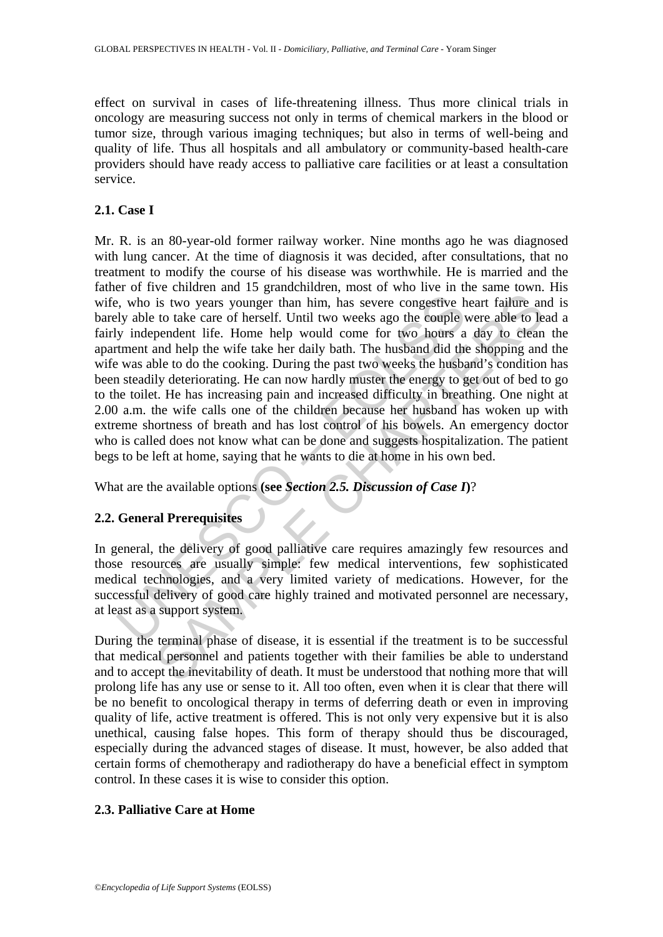effect on survival in cases of life-threatening illness. Thus more clinical trials in oncology are measuring success not only in terms of chemical markers in the blood or tumor size, through various imaging techniques; but also in terms of well-being and quality of life. Thus all hospitals and all ambulatory or community-based health-care providers should have ready access to palliative care facilities or at least a consultation service.

#### **2.1. Case I**

by, who is two years younger than him, has severe congestive hely able to take care of herself. Until two weeks ago the couple y independent life. Home help would come for two hours a triment and help the wife take her dai is two years younger than him, has severe congestive heart failure an<br>is two years younger than him, has severe congestive heart failure an<br>to take care of herself. Until two weeks ago the couple were able to le<br>pendent l Mr. R. is an 80-year-old former railway worker. Nine months ago he was diagnosed with lung cancer. At the time of diagnosis it was decided, after consultations, that no treatment to modify the course of his disease was worthwhile. He is married and the father of five children and 15 grandchildren, most of who live in the same town. His wife, who is two years younger than him, has severe congestive heart failure and is barely able to take care of herself. Until two weeks ago the couple were able to lead a fairly independent life. Home help would come for two hours a day to clean the apartment and help the wife take her daily bath. The husband did the shopping and the wife was able to do the cooking. During the past two weeks the husband's condition has been steadily deteriorating. He can now hardly muster the energy to get out of bed to go to the toilet. He has increasing pain and increased difficulty in breathing. One night at 2.00 a.m. the wife calls one of the children because her husband has woken up with extreme shortness of breath and has lost control of his bowels. An emergency doctor who is called does not know what can be done and suggests hospitalization. The patient begs to be left at home, saying that he wants to die at home in his own bed.

What are the available options **(see** *Section 2.5. Discussion of Case I***)**?

## **2.2. General Prerequisites**

In general, the delivery of good palliative care requires amazingly few resources and those resources are usually simple: few medical interventions, few sophisticated medical technologies, and a very limited variety of medications. However, for the successful delivery of good care highly trained and motivated personnel are necessary, at least as a support system.

During the terminal phase of disease, it is essential if the treatment is to be successful that medical personnel and patients together with their families be able to understand and to accept the inevitability of death. It must be understood that nothing more that will prolong life has any use or sense to it. All too often, even when it is clear that there will be no benefit to oncological therapy in terms of deferring death or even in improving quality of life, active treatment is offered. This is not only very expensive but it is also unethical, causing false hopes. This form of therapy should thus be discouraged, especially during the advanced stages of disease. It must, however, be also added that certain forms of chemotherapy and radiotherapy do have a beneficial effect in symptom control. In these cases it is wise to consider this option.

### **2.3. Palliative Care at Home**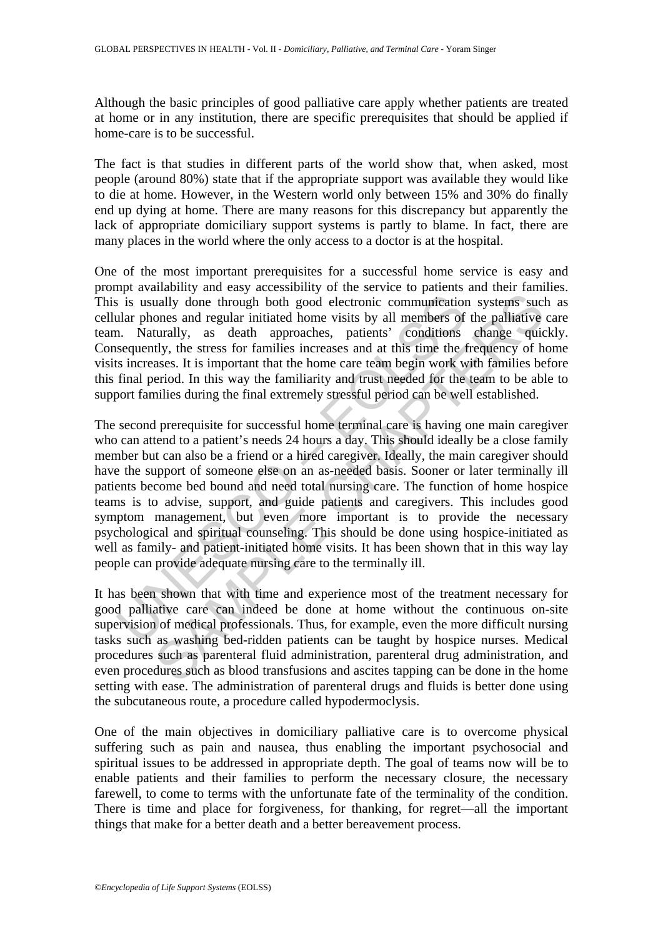Although the basic principles of good palliative care apply whether patients are treated at home or in any institution, there are specific prerequisites that should be applied if home-care is to be successful.

The fact is that studies in different parts of the world show that, when asked, most people (around 80%) state that if the appropriate support was available they would like to die at home. However, in the Western world only between 15% and 30% do finally end up dying at home. There are many reasons for this discrepancy but apparently the lack of appropriate domiciliary support systems is partly to blame. In fact, there are many places in the world where the only access to a doctor is at the hospital.

One of the most important prerequisites for a successful home service is easy and prompt availability and easy accessibility of the service to patients and their families. This is usually done through both good electronic communication systems such as cellular phones and regular initiated home visits by all members of the palliative care team. Naturally, as death approaches, patients' conditions change quickly. Consequently, the stress for families increases and at this time the frequency of home visits increases. It is important that the home care team begin work with families before this final period. In this way the familiarity and trust needed for the team to be able to support families during the final extremely stressful period can be well established.

is is usually done through both good electronic communication<br>ular phones and regular initiated home visits by all members of<br>n. Naturally, as death approaches, patients' conditions<br>sequently, the stress for families incre anally done through both good electronic communication systems such<br>anally done through both good electronic communication systems such<br>ones and regular initiated home visits by all members of the palliative<br>turally, as de The second prerequisite for successful home terminal care is having one main caregiver who can attend to a patient's needs 24 hours a day. This should ideally be a close family member but can also be a friend or a hired caregiver. Ideally, the main caregiver should have the support of someone else on an as-needed basis. Sooner or later terminally ill patients become bed bound and need total nursing care. The function of home hospice teams is to advise, support, and guide patients and caregivers. This includes good symptom management, but even more important is to provide the necessary psychological and spiritual counseling. This should be done using hospice-initiated as well as family- and patient-initiated home visits. It has been shown that in this way lay people can provide adequate nursing care to the terminally ill.

It has been shown that with time and experience most of the treatment necessary for good palliative care can indeed be done at home without the continuous on-site supervision of medical professionals. Thus, for example, even the more difficult nursing tasks such as washing bed-ridden patients can be taught by hospice nurses. Medical procedures such as parenteral fluid administration, parenteral drug administration, and even procedures such as blood transfusions and ascites tapping can be done in the home setting with ease. The administration of parenteral drugs and fluids is better done using the subcutaneous route, a procedure called hypodermoclysis.

One of the main objectives in domiciliary palliative care is to overcome physical suffering such as pain and nausea, thus enabling the important psychosocial and spiritual issues to be addressed in appropriate depth. The goal of teams now will be to enable patients and their families to perform the necessary closure, the necessary farewell, to come to terms with the unfortunate fate of the terminality of the condition. There is time and place for forgiveness, for thanking, for regret—all the important things that make for a better death and a better bereavement process.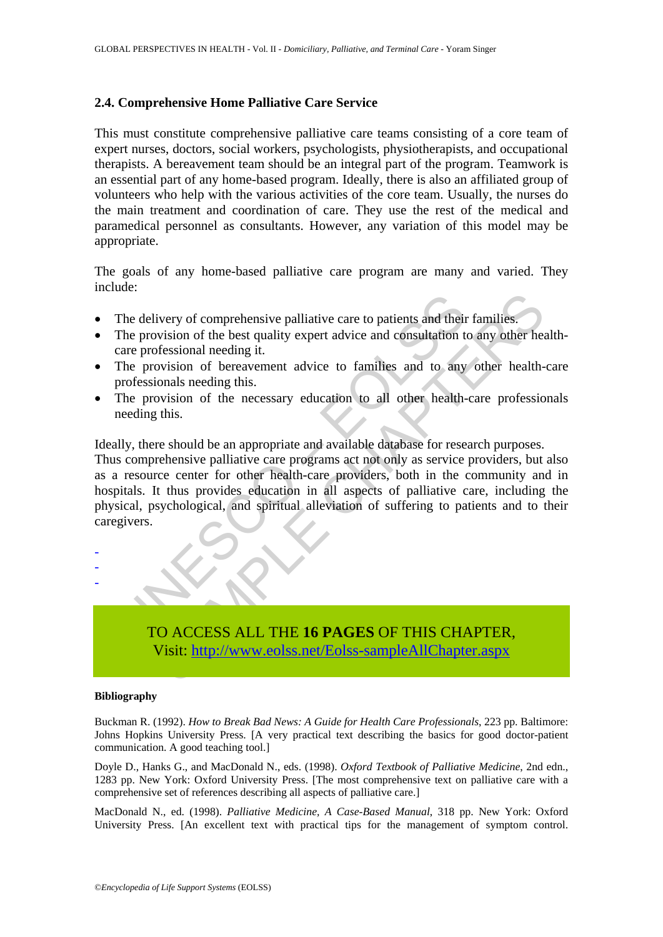#### **2.4. Comprehensive Home Palliative Care Service**

This must constitute comprehensive palliative care teams consisting of a core team of expert nurses, doctors, social workers, psychologists, physiotherapists, and occupational therapists. A bereavement team should be an integral part of the program. Teamwork is an essential part of any home-based program. Ideally, there is also an affiliated group of volunteers who help with the various activities of the core team. Usually, the nurses do the main treatment and coordination of care. They use the rest of the medical and paramedical personnel as consultants. However, any variation of this model may be appropriate.

The goals of any home-based palliative care program are many and varied. They include:

- The delivery of comprehensive palliative care to patients and their families.
- The provision of the best quality expert advice and consultation to any other healthcare professional needing it.
- The provision of bereavement advice to families and to any other health-care professionals needing this.
- The provision of the necessary education to all other health-care professionals needing this.

Ideally, there should be an appropriate and available database for research purposes. Thus comprehensive palliative care programs act not only as service providers, but also

The delivery of comprehensive palliative care to patients and their<br>The provision of the best quality expert advice and consultation to<br>care professional needing it.<br>The provision of bereavement advice to families and to a tivery of comprehensive palliative care to patients and their families.<br>
Sovision of the best quality expert advice and consultation to any other heat<br>
foressional needing it.<br>
covision of bereavement advice to families an as a resource center for other health-care providers, both in the community and in hospitals. It thus provides education in all aspects of palliative care, including the physical, psychological, and spiritual alleviation of suffering to patients and to their caregivers.

- -

-

TO ACCESS ALL THE **16 PAGES** OF THIS CHAPTER, Visit: http://www.eolss.net/Eolss-sampleAllChapter.aspx

#### **Bibliography**

Buckman R. (1992). *How to Break Bad News: A Guide for Health Care Professionals*, 223 pp. Baltimore: Johns Hopkins University Press. [A very practical text describing the basics for good doctor-patient communication. A good teaching tool.]

Doyle D., Hanks G., and MacDonald N., eds. (1998). *Oxford Textbook of Palliative Medicine*, 2nd edn., 1283 pp. New York: Oxford University Press. [The most comprehensive text on palliative care with a comprehensive set of references describing all aspects of palliative care.]

MacDonald N., ed. (1998). *Palliative Medicine, A Case-Based Manual*, 318 pp. New York: Oxford University Press. [An excellent text with practical tips for the management of symptom control.